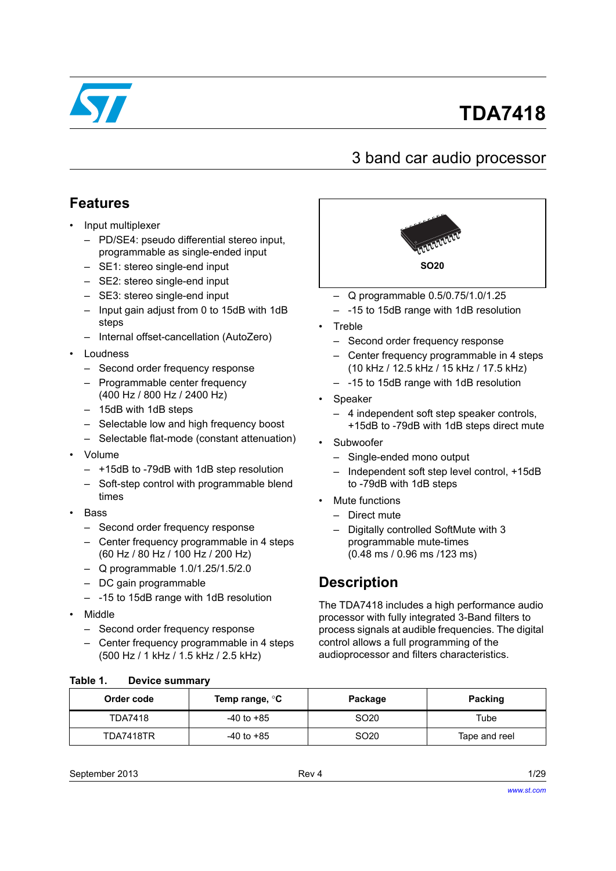

# **TDA7418**

# 3 band car audio processor

# **Features**

- Input multiplexer
	- PD/SE4: pseudo differential stereo input, programmable as single-ended input
	- SE1: stereo single-end input
	- SE2: stereo single-end input
	- SE3: stereo single-end input
	- Input gain adjust from 0 to 15dB with 1dB steps
	- Internal offset-cancellation (AutoZero)
- Loudness
	- Second order frequency response
	- Programmable center frequency (400 Hz / 800 Hz / 2400 Hz)
	- 15dB with 1dB steps
	- Selectable low and high frequency boost
	- Selectable flat-mode (constant attenuation)
- Volume
	- +15dB to -79dB with 1dB step resolution
	- Soft-step control with programmable blend times
- Bass
	- Second order frequency response
	- Center frequency programmable in 4 steps (60 Hz / 80 Hz / 100 Hz / 200 Hz)
	- Q programmable 1.0/1.25/1.5/2.0
	- DC gain programmable
	- -15 to 15dB range with 1dB resolution
- Middle
	- Second order frequency response
	- Center frequency programmable in 4 steps (500 Hz / 1 kHz / 1.5 kHz / 2.5 kHz)



- Q programmable 0.5/0.75/1.0/1.25
- -15 to 15dB range with 1dB resolution
- Treble
	- Second order frequency response
	- Center frequency programmable in 4 steps (10 kHz / 12.5 kHz / 15 kHz / 17.5 kHz)
	- -15 to 15dB range with 1dB resolution
- **Speaker** 
	- 4 independent soft step speaker controls, +15dB to -79dB with 1dB steps direct mute
- **Subwoofer** 
	- Single-ended mono output
	- Independent soft step level control, +15dB to -79dB with 1dB steps
- Mute functions
	- Direct mute
	- Digitally controlled SoftMute with 3 programmable mute-times (0.48 ms / 0.96 ms /123 ms)

# **Description**

The TDA7418 includes a high performance audio processor with fully integrated 3-Band filters to process signals at audible frequencies. The digital control allows a full programming of the audioprocessor and filters characteristics.

| Order code     | Temp range, °C | Package          | <b>Packing</b> |
|----------------|----------------|------------------|----------------|
| <b>TDA7418</b> | $-40$ to $+85$ | SO <sub>20</sub> | Tube           |
| TDA7418TR      | -40 to +85     | SO <sub>20</sub> | Tape and reel  |

#### <span id="page-0-0"></span>Table 1. **Table 1. Device summary**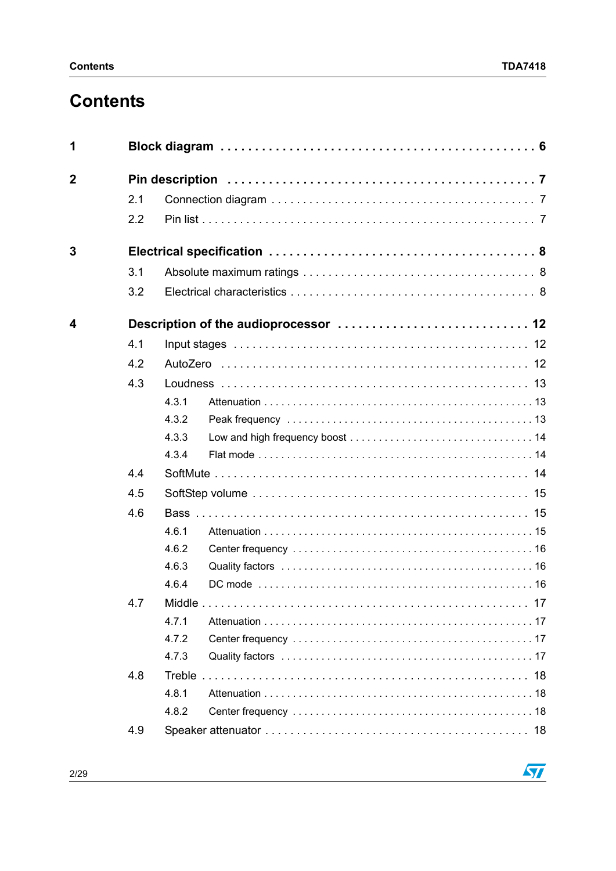# **Contents**

| 1              |     |       |  |
|----------------|-----|-------|--|
| $\overline{2}$ |     |       |  |
|                | 2.1 |       |  |
|                | 2.2 |       |  |
| 3              |     |       |  |
|                | 3.1 |       |  |
|                | 3.2 |       |  |
| 4              |     |       |  |
|                | 4.1 |       |  |
|                | 4.2 |       |  |
|                | 4.3 |       |  |
|                |     | 4.3.1 |  |
|                |     | 4.3.2 |  |
|                |     | 4.3.3 |  |
|                |     | 4.3.4 |  |
|                | 4.4 |       |  |
|                | 4.5 |       |  |
|                | 4.6 |       |  |
|                |     | 4.6.1 |  |
|                |     | 4.6.2 |  |
|                |     | 4.6.3 |  |
|                |     | 4.6.4 |  |
|                | 4.7 |       |  |
|                |     | 4.7.1 |  |
|                |     | 4.7.2 |  |
|                |     | 4.7.3 |  |
|                | 4.8 |       |  |
|                |     | 4.8.1 |  |
|                |     | 4.8.2 |  |
|                | 4.9 |       |  |

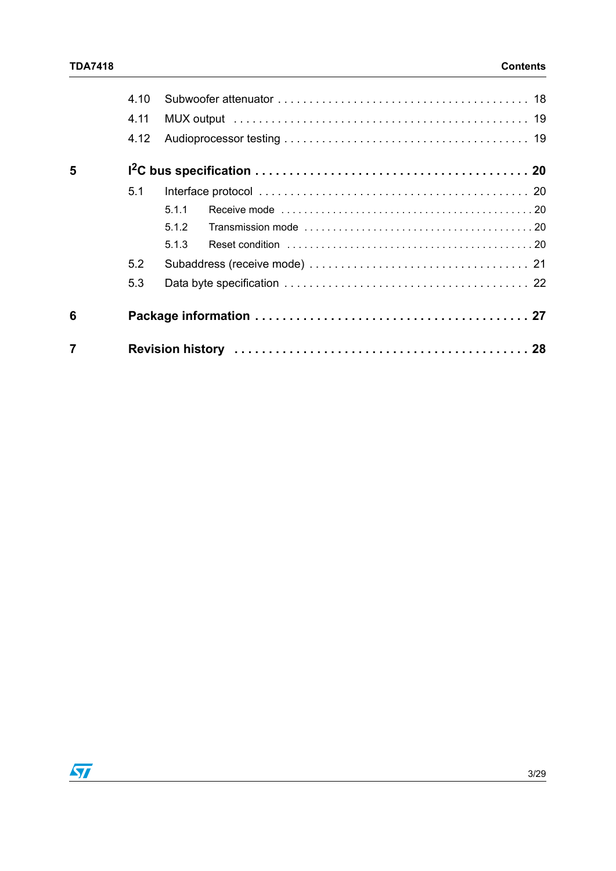|   | 4.10 |       |
|---|------|-------|
|   | 4.11 |       |
|   | 4.12 |       |
| 5 |      |       |
|   | 5.1  |       |
|   |      | 5.1.1 |
|   |      | 5.1.2 |
|   |      | 5.1.3 |
|   | 5.2  |       |
|   | 5.3  |       |
| 6 |      |       |
|   |      |       |

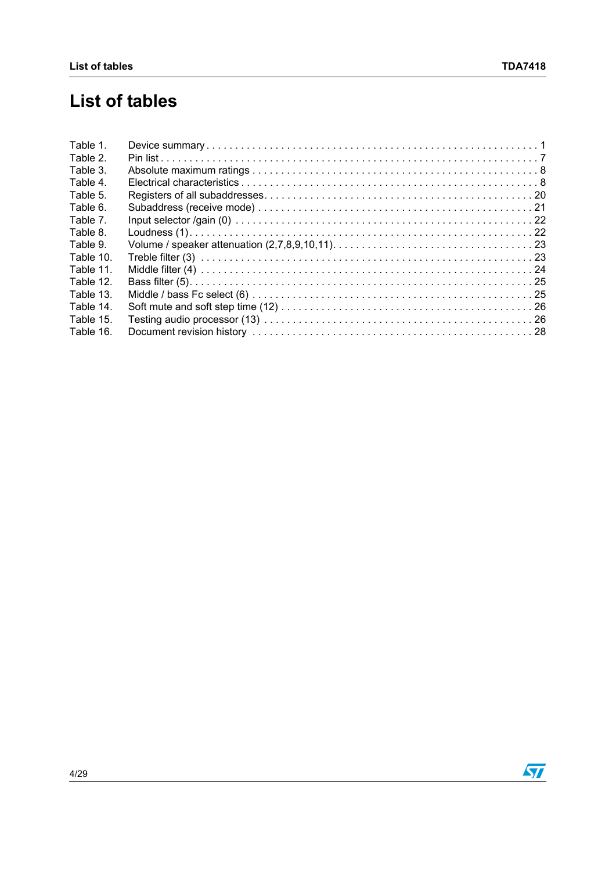# **List of tables**

| Table 1.  |  |
|-----------|--|
| Table 2.  |  |
| Table 3.  |  |
| Table 4.  |  |
| Table 5.  |  |
| Table 6.  |  |
| Table 7.  |  |
| Table 8.  |  |
| Table 9.  |  |
| Table 10. |  |
| Table 11. |  |
| Table 12. |  |
| Table 13. |  |
| Table 14. |  |
| Table 15. |  |
| Table 16. |  |

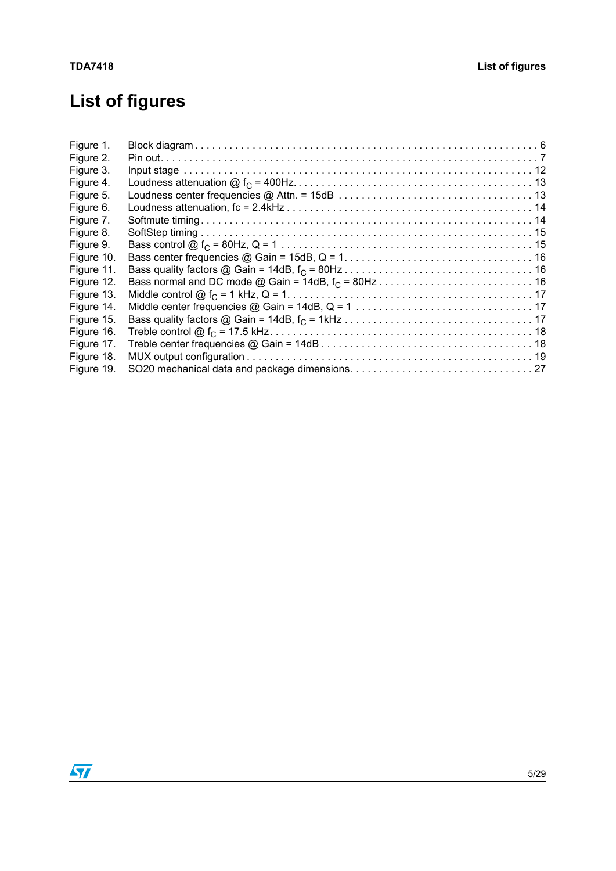# **List of figures**

| Figure 1.  |  |
|------------|--|
| Figure 2.  |  |
| Figure 3.  |  |
| Figure 4.  |  |
| Figure 5.  |  |
| Figure 6.  |  |
| Figure 7.  |  |
| Figure 8.  |  |
| Figure 9.  |  |
| Figure 10. |  |
| Figure 11. |  |
| Figure 12. |  |
| Figure 13. |  |
| Figure 14. |  |
| Figure 15. |  |
| Figure 16. |  |
| Figure 17. |  |
| Figure 18. |  |
| Figure 19. |  |

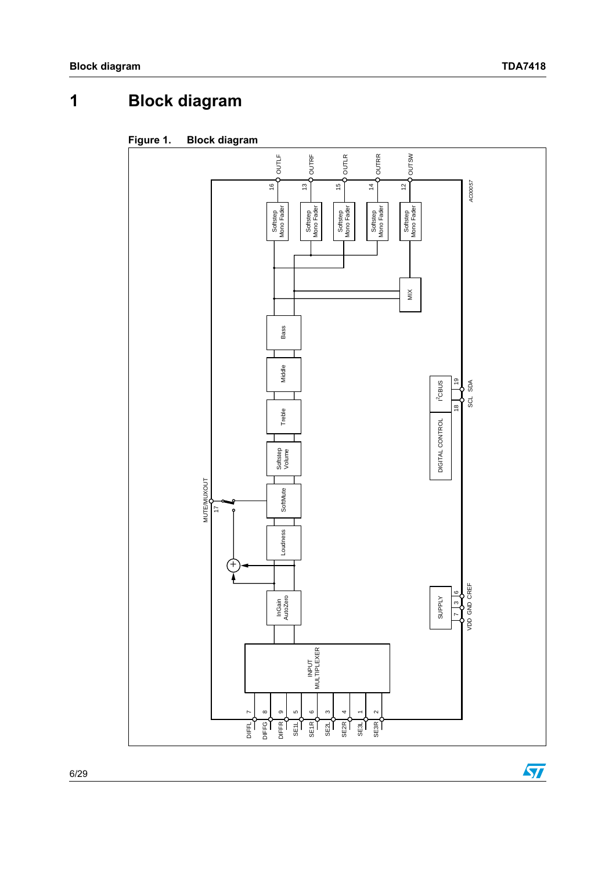$\overline{\mathbf{y}}$ 

# <span id="page-5-0"></span>**1 Block diagram**

<span id="page-5-1"></span>

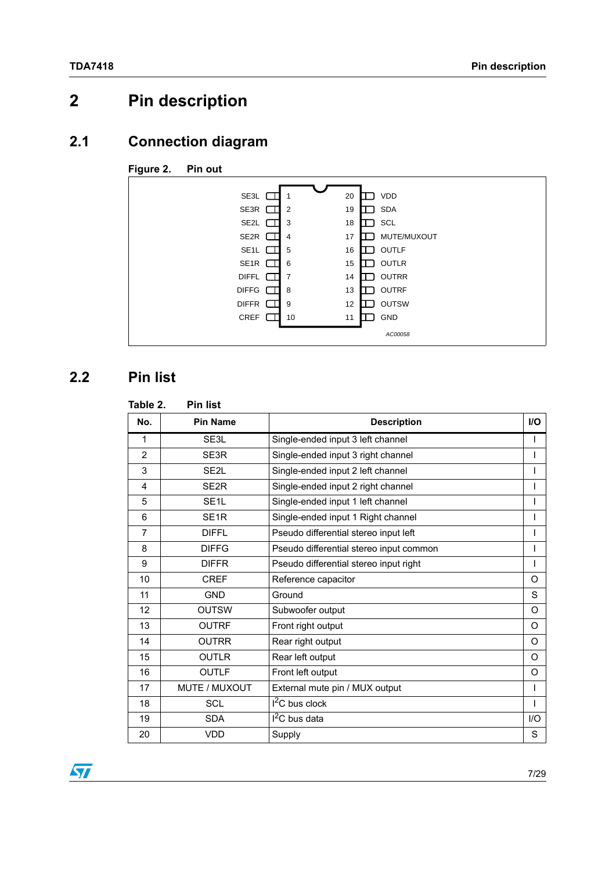# <span id="page-6-0"></span>**2 Pin description**

# <span id="page-6-1"></span>**2.1 Connection diagram**

#### <span id="page-6-4"></span>**Figure 2. Pin out**



# <span id="page-6-2"></span>**2.2 Pin list**

## <span id="page-6-3"></span> **Table 2. Pin list No. | Pin Name | Description | I/O** 1 SE3L Single-ended input 3 left channel 2 SE3R Single-ended input 3 right channel 3 SE2L Single-ended input 2 left channel I 4 SE2R Single-ended input 2 right channel I 5 SE1L Single-ended input 1 left channel 6 SE1R Single-ended input 1 Right channel 7 DIFFL Pseudo differential stereo input left I 8 DIFFG Pseudo differential stereo input common | | 9 DIFFR Pseudo differential stereo input right I 10 CREF Reference capacitor CREF Reference capacitor 11 GND Ground S 12 OUTSW Subwoofer output CONTENTS OF CONTENTS OF CONTENTS OF CONTENTS OF CONTENTS OF CONTENTS OF CONTENTS OF CONTENTS OF CONTENTS OF CONTENTS OF CONTENTS OF CONTENTS OF CONTENTS OF CONTENTS OF CONTENTS OF CONTENTS OF CONT 13 | OUTRF | Front right output | O 14 OUTRR Rear right output O 15 OUTLR Rear left output COVID-15 OUTLR 16 OUTLE Front left output COVERSITY OF COVER OF SALES AND THE OF COVER OF COVER OF COVER OF COVER OF COVER OF COVER OF COVER OF COVER OF COVER OF COVER OF COVER OF COVER OF COVER OF COVER OF COVER OF COVER OF COVER OF COV 17 MUTE / MUXOUT External mute pin / MUX output I  $18$  SCL  $12$ C bus clock II  $19$  SDA  $1^2$ C bus data  $1/10$ 20 VDD Supply Supply Supply Supply Suppliers in the Suppliers of Suppliers Suppliers Suppliers Suppliers Suppl

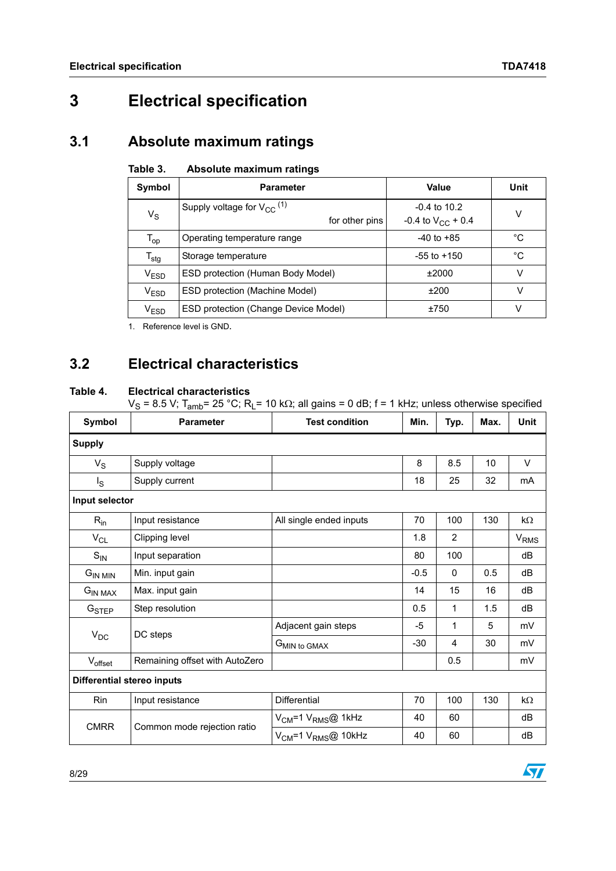# <span id="page-7-0"></span>**3 Electrical specification**

# <span id="page-7-1"></span>**3.1 Absolute maximum ratings**

#### <span id="page-7-3"></span>Table 3. **Absolute maximum ratings**

| Symbol                      | <b>Parameter</b>                                             | Value                                    | Unit        |
|-----------------------------|--------------------------------------------------------------|------------------------------------------|-------------|
| $V_S$                       | Supply voltage for $V_{CC}$ <sup>(1)</sup><br>for other pins | $-0.4$ to 10.2<br>-0.4 to $V_{CC}$ + 0.4 | V           |
| $\mathsf{T}_{\mathsf{op}}$  | Operating temperature range                                  | $-40$ to $+85$                           | °C          |
| $\mathsf{T}_{\mathsf{stg}}$ | Storage temperature                                          | $-55$ to $+150$                          | $^{\circ}C$ |
| V <sub>ESD</sub>            | ESD protection (Human Body Model)                            | ±2000                                    | v           |
| $\mathsf{V}_{\mathsf{ESD}}$ | ESD protection (Machine Model)                               | ±200                                     | v           |
| $\rm V_{ESD}$               | ESD protection (Change Device Model)                         | ±750                                     | v           |

1. Reference level is GND*.*

# <span id="page-7-2"></span>**3.2 Electrical characteristics**

#### <span id="page-7-4"></span>**Table 4. Electrical characteristics**

 $V_S$  = 8.5 V; T<sub>amb</sub>= 25 °C; R<sub>L</sub>= 10 k $\Omega$ ; all gains = 0 dB; f = 1 kHz; unless otherwise specified

| Symbol            | <b>Parameter</b>                                                                                        | <b>Test condition</b>                                                                        | Min.   | Typ.           | Max. | <b>Unit</b> |
|-------------------|---------------------------------------------------------------------------------------------------------|----------------------------------------------------------------------------------------------|--------|----------------|------|-------------|
| <b>Supply</b>     |                                                                                                         |                                                                                              |        |                |      |             |
| $V_S$             | Supply voltage                                                                                          |                                                                                              | 8      | 8.5            | 10   | V           |
| $I_{\rm S}$       | Supply current                                                                                          |                                                                                              | 18     | 25             | 32   | mA          |
| Input selector    |                                                                                                         |                                                                                              |        |                |      |             |
| $R_{in}$          | Input resistance                                                                                        | All single ended inputs                                                                      | 70     | 100            | 130  | kΩ          |
| $V_{CL}$          | Clipping level                                                                                          |                                                                                              | 1.8    | $\overline{2}$ |      | $V_{RMS}$   |
| $S_{IN}$          | Input separation                                                                                        |                                                                                              | 80     | 100            |      | dB          |
| $G_{IN MIN}$      | Min. input gain                                                                                         |                                                                                              | $-0.5$ | $\mathbf{0}$   | 0.5  | dB          |
| $G_{IN \, MAX}$   | Max. input gain                                                                                         |                                                                                              | 14     | 15             | 16   | dB          |
| G <sub>STEP</sub> | Step resolution                                                                                         |                                                                                              | 0.5    | 1              | 1.5  | dB          |
|                   |                                                                                                         | Adjacent gain steps<br>$-5$<br>1<br>5<br>30<br>$-30$<br>4<br>G <sub>MIN</sub> to GMAX<br>0.5 |        | mV             |      |             |
|                   |                                                                                                         |                                                                                              |        |                |      | mV          |
| Voffset           | Remaining offset with AutoZero                                                                          |                                                                                              |        |                |      | mV          |
|                   |                                                                                                         |                                                                                              |        |                |      |             |
| Rin               | Input resistance                                                                                        | <b>Differential</b>                                                                          | 70     | 100            | 130  | kΩ          |
|                   | DC steps<br>$V_{DC}$<br><b>Differential stereo inputs</b><br><b>CMRR</b><br>Common mode rejection ratio | $V_{CM}$ =1 $V_{RMS}$ @ 1kHz                                                                 | 40     | 60             |      | dB          |
|                   |                                                                                                         | $V_{CM}$ =1 $V_{RMS}$ @ 10kHz                                                                | 40     | 60             |      | dB          |

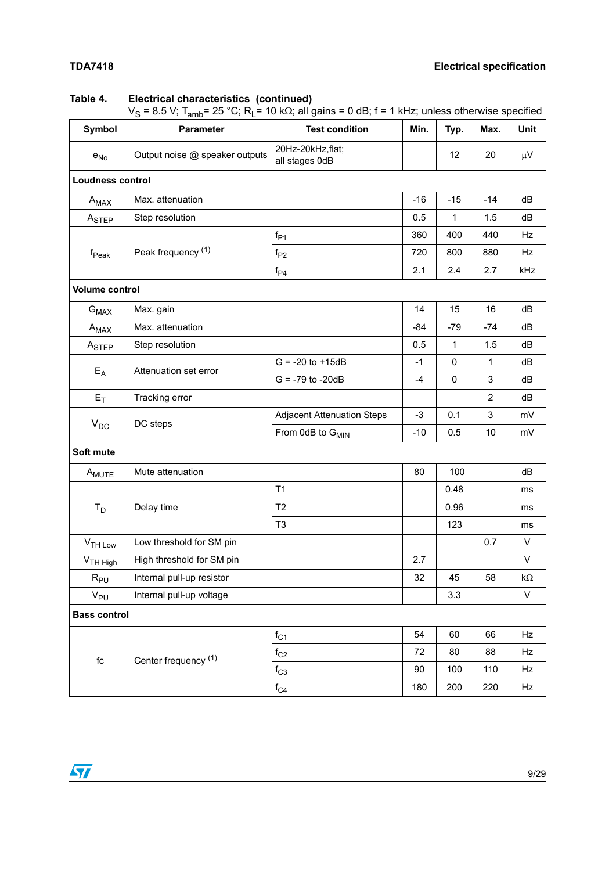#### **Table 4. Electrical characteristics (continued)**

V<sub>S</sub> = 8.5 V; T<sub>amb</sub>= 25 °C; R<sub>L</sub>= 10 kΩ; all gains = 0 dB; f = 1 kHz; unless otherwise specified

| Symbol                     | <b>Parameter</b>               | <b>Test condition</b>               | Min.  | Typ.        | Max.           | Unit         |
|----------------------------|--------------------------------|-------------------------------------|-------|-------------|----------------|--------------|
| $e_{No}$                   | Output noise @ speaker outputs | 20Hz-20kHz, flat;<br>all stages 0dB |       | 12          | 20             | $\mu V$      |
| <b>Loudness control</b>    |                                |                                     |       |             |                |              |
| $A_{MAX}$                  | Max. attenuation               |                                     | $-16$ | $-15$       | $-14$          | dB           |
| A <sub>STEP</sub>          | Step resolution                |                                     | 0.5   | 1           | 1.5            | dB           |
|                            |                                | $f_{P1}$                            | 360   | 400         | 440            | Hz           |
| $f_{\sf Peak}$             | Peak frequency <sup>(1)</sup>  | $f_{P2}$                            | 720   | 800         | 880            | Hz           |
|                            |                                | $f_{\mathsf{P}4}$                   | 2.1   | 2.4         | 2.7            | kHz          |
| <b>Volume control</b>      |                                |                                     |       |             |                |              |
| $G_{MAX}$                  | Max. gain                      |                                     | 14    | 15          | 16             | dB           |
| $A_{MAX}$                  | Max. attenuation               |                                     | -84   | $-79$       | $-74$          | dB           |
| ASTEP                      | Step resolution                |                                     | 0.5   | $\mathbf 1$ | 1.5            | dB           |
|                            | Attenuation set error          | $G = -20$ to $+15dB$                | $-1$  | 0           | 1              | dB           |
| $E_A$                      |                                | $G = -79$ to $-20dB$                | -4    | 0           | 3              | dB           |
| $E_T$                      | Tracking error                 |                                     |       |             | $\overline{2}$ | dB           |
|                            |                                | <b>Adjacent Attenuation Steps</b>   | $-3$  | 0.1         | 3              | mV           |
|                            | $V_{DC}$<br>DC steps           | From 0dB to G <sub>MIN</sub>        | $-10$ | 0.5         | 10             | mV           |
| Soft mute                  |                                |                                     |       |             |                |              |
| A <sub>MUTE</sub>          | Mute attenuation               |                                     | 80    | 100         |                | dB           |
|                            |                                | T1                                  |       | 0.48        |                | ms           |
| $T_D$                      | Delay time                     | T <sub>2</sub>                      |       | 0.96        |                | ms           |
|                            |                                | T <sub>3</sub>                      |       | 123         |                | ms           |
| V <sub>TH Low</sub>        | Low threshold for SM pin       |                                     |       |             | 0.7            | V            |
| V <sub>TH High</sub>       | High threshold for SM pin      |                                     | 2.7   |             |                | V            |
| $\mathsf{R}_{\mathsf{PU}}$ | Internal pull-up resistor      |                                     | 32    | 45          | 58             | $k\Omega$    |
| V <sub>PU</sub>            | Internal pull-up voltage       |                                     |       | 3.3         |                | $\mathsf{V}$ |
| <b>Bass control</b>        |                                |                                     |       |             |                |              |
|                            |                                | $f_{C1}$                            | 54    | 60          | 66             | Hz           |
| $\operatorname{\sf fc}$    | Center frequency (1)           | $f_{C2}$                            | 72    | 80          | 88             | Hz           |
|                            |                                | $f_{C3}$                            | 90    | 100         | 110            | Hz           |
|                            |                                | $f_{C4}$                            | 180   | 200         | 220            | Hz           |

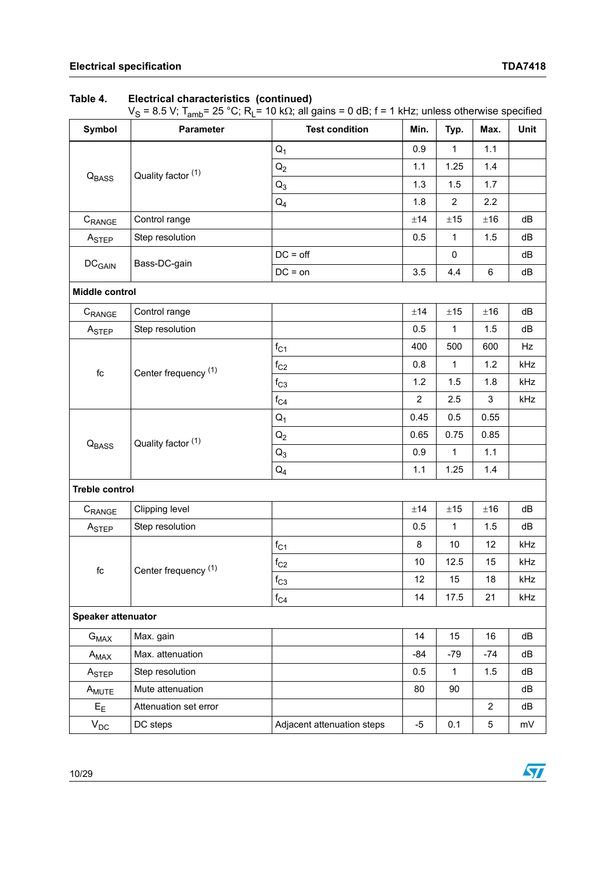#### **Table 4. Electrical characteristics (continued)**

V<sub>S</sub> = 8.5 V; T<sub>amb</sub>= 25 °C; R<sub>L</sub>= 10 kΩ; all gains = 0 dB; f = 1 kHz; unless otherwise specified

| Symbol                    | -<br>Parameter                  | <b>Test condition</b>      | Min.           | Typ.                                                                                                                                                                                                                            | Max.           | Unit |
|---------------------------|---------------------------------|----------------------------|----------------|---------------------------------------------------------------------------------------------------------------------------------------------------------------------------------------------------------------------------------|----------------|------|
|                           |                                 | $Q_1$                      | 0.9            | 1                                                                                                                                                                                                                               | 1.1            |      |
|                           | Quality factor (1)              | $Q_2$                      | 1.1            | 1.25                                                                                                                                                                                                                            | 1.4            |      |
| Q <sub>BASS</sub>         |                                 | $Q_3$                      | 1.3            | 1.5                                                                                                                                                                                                                             | 1.7            |      |
|                           |                                 | $Q_4$                      | 1.8            | $\overline{2}$<br>2.2<br>$\pm 15$<br>±16<br>1.5<br>1<br>0<br>4.4<br>$\,6\,$<br>$\pm 15$<br>±16<br>$\mathbf{1}$<br>1.5<br>500<br>600<br>$\mathbf{1}$<br>1.2<br>1.5<br>1.8<br>3<br>2.5<br>0.5<br>0.55<br>0.75<br>0.85<br>1.1<br>1 |                |      |
| $C_{\text{RANGE}}$        | Control range                   |                            | ±14            |                                                                                                                                                                                                                                 |                | dB   |
| A <sub>STEP</sub>         | Step resolution                 |                            | 0.5            |                                                                                                                                                                                                                                 |                | dB   |
|                           | Bass-DC-gain                    | $DC = off$                 |                |                                                                                                                                                                                                                                 |                | dB   |
| DC <sub>GAIN</sub>        |                                 | $DC = on$                  | 3.5            |                                                                                                                                                                                                                                 |                | dB   |
| Middle control            |                                 |                            |                |                                                                                                                                                                                                                                 |                |      |
| C <sub>RANGE</sub>        | Control range                   |                            | ±14            |                                                                                                                                                                                                                                 |                | dB   |
| ASTEP                     | Step resolution                 |                            | 0.5            |                                                                                                                                                                                                                                 |                | dB   |
|                           |                                 | $f_{C1}$                   | 400            |                                                                                                                                                                                                                                 |                | Hz   |
|                           |                                 | $f_{C2}$                   | 0.8            |                                                                                                                                                                                                                                 |                | kHz  |
| $\operatorname{\sf fc}$   | Center frequency <sup>(1)</sup> | $f_{C3}$                   | 1.2            |                                                                                                                                                                                                                                 |                | kHz  |
|                           |                                 | $f_{C4}$                   | $\overline{2}$ |                                                                                                                                                                                                                                 |                | kHz  |
|                           |                                 | $Q_1$                      | 0.45           |                                                                                                                                                                                                                                 |                |      |
|                           |                                 | $Q_2$                      | 0.65           |                                                                                                                                                                                                                                 |                |      |
| Q <sub>BASS</sub>         | Quality factor (1)              | $Q_3$                      | 0.9            |                                                                                                                                                                                                                                 |                |      |
|                           |                                 | $Q_4$                      | 1.1            | 1.25                                                                                                                                                                                                                            | 1.4            |      |
| <b>Treble control</b>     |                                 |                            |                |                                                                                                                                                                                                                                 |                |      |
| C <sub>RANGE</sub>        | Clipping level                  |                            | ±14            | $\pm 15$                                                                                                                                                                                                                        | ±16            | dB   |
| A <sub>STEP</sub>         | Step resolution                 |                            | 0.5            | $\mathbf{1}$                                                                                                                                                                                                                    | 1.5            | dB   |
|                           |                                 | $f_{C1}$                   | $\bf 8$        | 10                                                                                                                                                                                                                              | 12             | kHz  |
|                           | Center frequency (1)            | $f_{C2}$                   | 10             | 12.5                                                                                                                                                                                                                            | 15             | kHz  |
| $\operatorname{\sf fc}$   |                                 | $\mathsf{f}_{\mathrm{C3}}$ | 12             | 15                                                                                                                                                                                                                              | $18\,$         | kHz  |
|                           |                                 | $f_{C4}$                   | 14             | 17.5                                                                                                                                                                                                                            | 21             | kHz  |
| <b>Speaker attenuator</b> |                                 |                            |                |                                                                                                                                                                                                                                 |                |      |
| $G_{MAX}$                 | Max. gain                       |                            | 14             | 15                                                                                                                                                                                                                              | 16             | dB   |
| $A_{MAX}$                 | Max. attenuation                |                            | -84            | $-79$                                                                                                                                                                                                                           | $-74$          | dB   |
| $A_{\mathsf{STEP}}$       | Step resolution                 |                            | 0.5            | 1                                                                                                                                                                                                                               | 1.5            | dB   |
| A <sub>MUTE</sub>         | Mute attenuation                |                            | 80             | 90                                                                                                                                                                                                                              |                | dB   |
| $E_{E}$                   | Attenuation set error           |                            |                |                                                                                                                                                                                                                                 | $\overline{2}$ | dB   |
| $V_{DC}$                  | DC steps                        | Adjacent attenuation steps | $-5$           | 0.1                                                                                                                                                                                                                             | 5              | mV   |

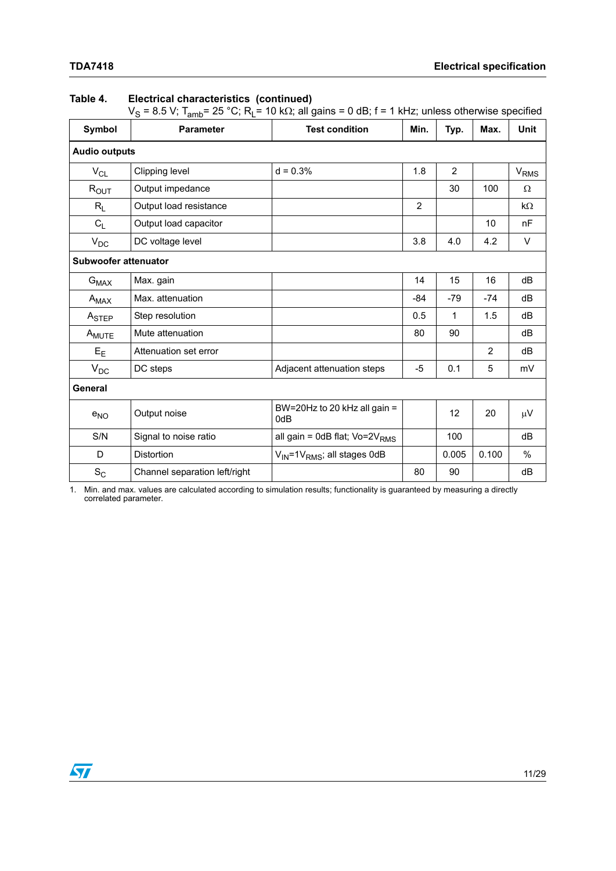### **Table 4. Electrical characteristics (continued)**

 $V_S$  = 8.5 V; T<sub>amb</sub>= 25 °C; R<sub>L</sub>= 10 k $\Omega$ ; all gains = 0 dB; f = 1 kHz; unless otherwise specified

| Symbol               | <b>Parameter</b>              | <b>Test condition</b>                               | Min.           | Typ.           | Max.  | <b>Unit</b>      |
|----------------------|-------------------------------|-----------------------------------------------------|----------------|----------------|-------|------------------|
| <b>Audio outputs</b> |                               |                                                     |                |                |       |                  |
| $V_{CL}$             | Clipping level                | $d = 0.3%$                                          | 1.8            | $\overline{2}$ |       | V <sub>RMS</sub> |
| $R_{OUT}$            | Output impedance              |                                                     |                | 30             | 100   | Ω                |
| $R_L$                | Output load resistance        |                                                     | $\overline{2}$ |                |       | $k\Omega$        |
| $C_L$                | Output load capacitor         |                                                     |                |                | 10    | nF               |
| $V_{DC}$             | DC voltage level              |                                                     | 3.8            | 4.0            | 4.2   | V                |
| Subwoofer attenuator |                               |                                                     |                |                |       |                  |
| $G_{MAX}$            | Max. gain                     |                                                     | 14             | 15             | 16    | dB               |
| $A_{MAX}$            | Max. attenuation              |                                                     | $-84$          | $-79$          | $-74$ | dB               |
| A <sub>STEP</sub>    | Step resolution               |                                                     | 0.5            | 1              | 1.5   | dB               |
| A <sub>MUTE</sub>    | Mute attenuation              |                                                     | 80             | 90             |       | dB               |
| $E_{E}$              | Attenuation set error         |                                                     |                |                | 2     | dB               |
| $V_{DC}$             | DC steps                      | Adjacent attenuation steps                          | $-5$           | 0.1            | 5     | mV               |
| <b>General</b>       |                               |                                                     |                |                |       |                  |
| $e_{NO}$             | Output noise                  | BW=20Hz to 20 kHz all gain =<br>0dB                 |                | 12             | 20    | $\mu$ V          |
| S/N                  | Signal to noise ratio         | all gain = 0dB flat; Vo=2V <sub>RMS</sub>           |                | 100            |       | dB               |
| D                    | <b>Distortion</b>             | V <sub>IN</sub> =1V <sub>RMS</sub> ; all stages 0dB |                | 0.005          | 0.100 | %                |
| $S_C$                | Channel separation left/right |                                                     | 80             | 90             |       | dB               |

1. Min. and max. values are calculated according to simulation results; functionality is guaranteed by measuring a directly correlated parameter.

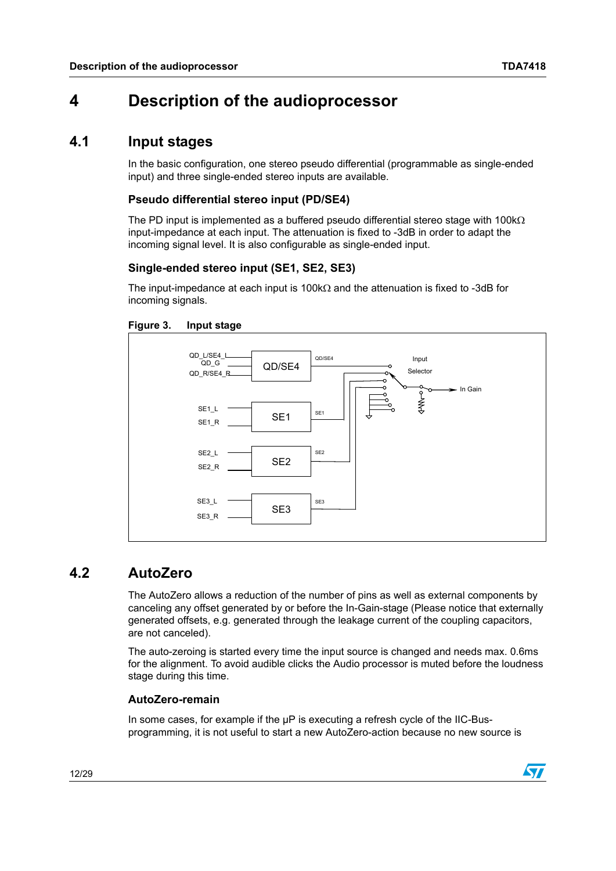# <span id="page-11-0"></span>**4 Description of the audioprocessor**

## <span id="page-11-1"></span>**4.1 Input stages**

In the basic configuration, one stereo pseudo differential (programmable as single-ended input) and three single-ended stereo inputs are available.

#### **Pseudo differential stereo input (PD/SE4)**

The PD input is implemented as a buffered pseudo differential stereo stage with 100 $k\Omega$ input-impedance at each input. The attenuation is fixed to -3dB in order to adapt the incoming signal level. It is also configurable as single-ended input.

#### **Single-ended stereo input (SE1, SE2, SE3)**

The input-impedance at each input is 100k $\Omega$  and the attenuation is fixed to -3dB for incoming signals.

<span id="page-11-3"></span>



### <span id="page-11-2"></span>**4.2 AutoZero**

The AutoZero allows a reduction of the number of pins as well as external components by canceling any offset generated by or before the In-Gain-stage (Please notice that externally generated offsets, e.g. generated through the leakage current of the coupling capacitors, are not canceled).

The auto-zeroing is started every time the input source is changed and needs max. 0.6ms for the alignment. To avoid audible clicks the Audio processor is muted before the loudness stage during this time.

#### **AutoZero-remain**

In some cases, for example if the  $\mu$ P is executing a refresh cycle of the IIC-Busprogramming, it is not useful to start a new AutoZero-action because no new source is

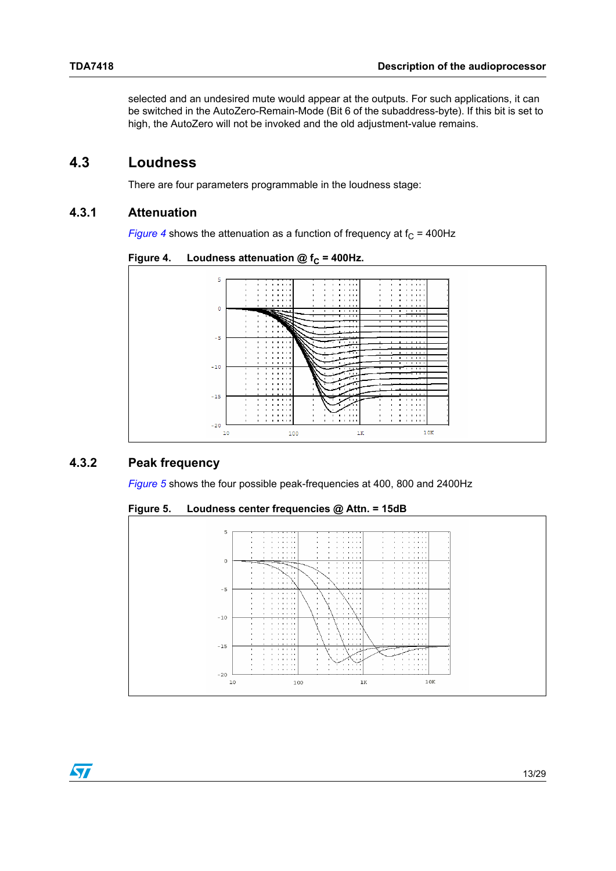selected and an undesired mute would appear at the outputs. For such applications, it can be switched in the AutoZero-Remain-Mode (Bit 6 of the subaddress-byte). If this bit is set to high, the AutoZero will not be invoked and the old adjustment-value remains.

### <span id="page-12-0"></span>**4.3 Loudness**

There are four parameters programmable in the loudness stage:

#### <span id="page-12-1"></span>**4.3.1 Attenuation**

*[Figure 4](#page-12-3)* shows the attenuation as a function of frequency at  $f_C = 400$ Hz

<span id="page-12-3"></span>Figure 4. Loudness attenuation  $@f_c = 400$ Hz.



#### <span id="page-12-2"></span>**4.3.2 Peak frequency**

*[Figure 5](#page-12-4)* shows the four possible peak-frequencies at 400, 800 and 2400Hz

<span id="page-12-4"></span>**Figure 5. Loudness center frequencies @ Attn. = 15dB**



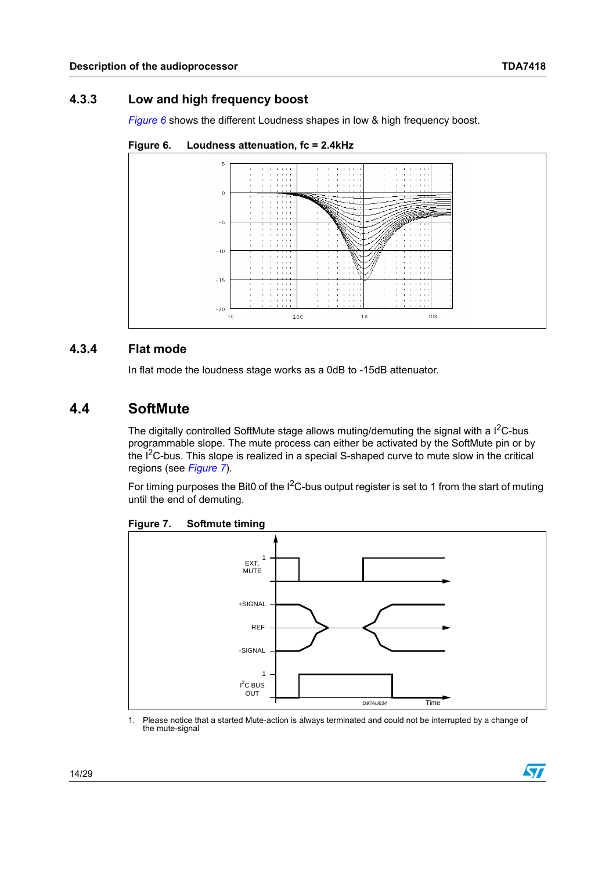### <span id="page-13-0"></span>**4.3.3 Low and high frequency boost**

*[Figure 6](#page-13-3)* shows the different Loudness shapes in low & high frequency boost.



<span id="page-13-3"></span>

#### <span id="page-13-1"></span>**4.3.4 Flat mode**

In flat mode the loudness stage works as a 0dB to -15dB attenuator.

### <span id="page-13-2"></span>**4.4 SoftMute**

The digitally controlled SoftMute stage allows muting/demuting the signal with a  $I^2C$ -bus programmable slope. The mute process can either be activated by the SoftMute pin or by the  $I<sup>2</sup>C-bus$ . This slope is realized in a special S-shaped curve to mute slow in the critical regions (see *[Figure 7](#page-13-4)*).

For timing purposes the Bit0 of the  $I^2C$ -bus output register is set to 1 from the start of muting until the end of demuting.



<span id="page-13-4"></span>**Figure 7. Softmute timing**

1. Please notice that a started Mute-action is always terminated and could not be interrupted by a change of the mute-signal

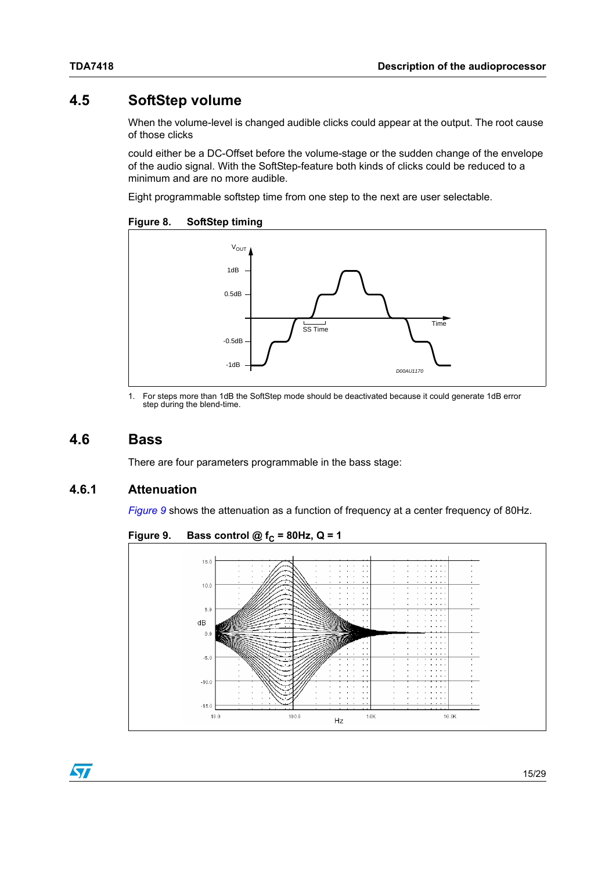# <span id="page-14-0"></span>**4.5 SoftStep volume**

When the volume-level is changed audible clicks could appear at the output. The root cause of those clicks

could either be a DC-Offset before the volume-stage or the sudden change of the envelope of the audio signal. With the SoftStep-feature both kinds of clicks could be reduced to a minimum and are no more audible.

Eight programmable softstep time from one step to the next are user selectable.

<span id="page-14-3"></span>**Figure 8. SoftStep timing**



1. For steps more than 1dB the SoftStep mode should be deactivated because it could generate 1dB error step during the blend-time.

### <span id="page-14-1"></span>**4.6 Bass**

There are four parameters programmable in the bass stage:

#### <span id="page-14-2"></span>**4.6.1 Attenuation**

*[Figure 9](#page-14-4)* shows the attenuation as a function of frequency at a center frequency of 80Hz.



<span id="page-14-4"></span>Figure 9. Bass control  $@f_c = 80$ Hz,  $Q = 1$ 

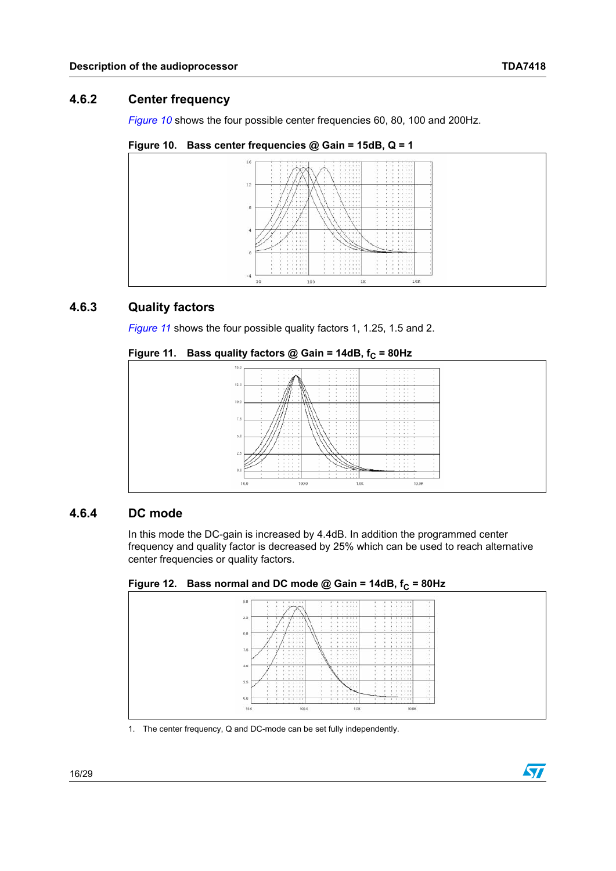### <span id="page-15-0"></span>**4.6.2 Center frequency**

*[Figure 10](#page-15-3)* shows the four possible center frequencies 60, 80, 100 and 200Hz.

<span id="page-15-3"></span>**Figure 10. Bass center frequencies @ Gain = 15dB, Q = 1**



#### <span id="page-15-1"></span>**4.6.3 Quality factors**

*[Figure 11](#page-15-4)* shows the four possible quality factors 1, 1.25, 1.5 and 2.

<span id="page-15-4"></span>

|  |  | Figure 11.   Bass quality factors @ Gain = 14dB, f $_{\rm C}$ = 80Hz $\,$ |  |
|--|--|---------------------------------------------------------------------------|--|
|--|--|---------------------------------------------------------------------------|--|



#### <span id="page-15-2"></span>**4.6.4 DC mode**

In this mode the DC-gain is increased by 4.4dB. In addition the programmed center frequency and quality factor is decreased by 25% which can be used to reach alternative center frequencies or quality factors.

<span id="page-15-5"></span>Figure 12. Bass normal and DC mode @ Gain = 14dB,  $f_C = 80$ Hz



1. The center frequency, Q and DC-mode can be set fully independently.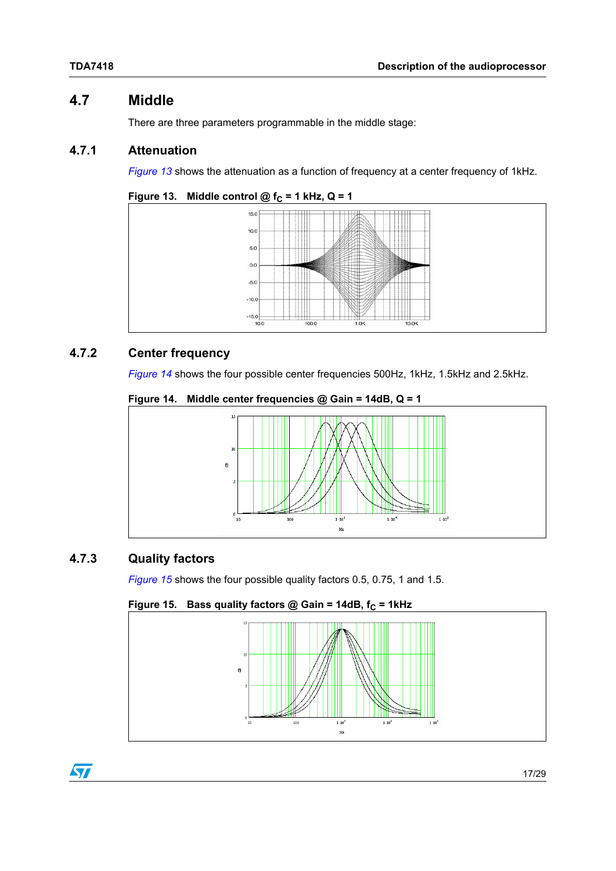# <span id="page-16-0"></span>**4.7 Middle**

There are three parameters programmable in the middle stage:

### <span id="page-16-1"></span>**4.7.1 Attenuation**

*[Figure 13](#page-16-4)* shows the attenuation as a function of frequency at a center frequency of 1kHz.

<span id="page-16-4"></span>



### <span id="page-16-2"></span>**4.7.2 Center frequency**

*[Figure 14](#page-16-5)* shows the four possible center frequencies 500Hz, 1kHz, 1.5kHz and 2.5kHz.

<span id="page-16-5"></span>



### <span id="page-16-3"></span>**4.7.3 Quality factors**

*[Figure 15](#page-16-6)* shows the four possible quality factors 0.5, 0.75, 1 and 1.5.

#### <span id="page-16-6"></span>Figure 15. Bass quality factors @ Gain = 14dB,  $f_C = 1$ kHz



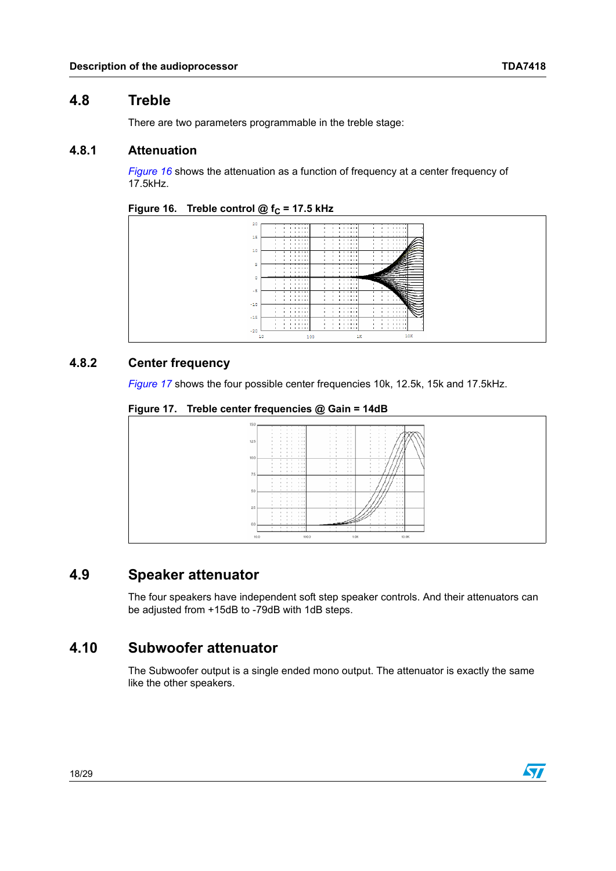### <span id="page-17-0"></span>**4.8 Treble**

There are two parameters programmable in the treble stage:

#### <span id="page-17-1"></span>**4.8.1 Attenuation**

*[Figure 16](#page-17-5)* shows the attenuation as a function of frequency at a center frequency of 17.5kHz.

#### <span id="page-17-5"></span>Figure 16. Treble control  $@f_c = 17.5 \text{ kHz}$



#### <span id="page-17-2"></span>**4.8.2 Center frequency**

*[Figure 17](#page-17-6)* shows the four possible center frequencies 10k, 12.5k, 15k and 17.5kHz.

<span id="page-17-6"></span>**Figure 17. Treble center frequencies @ Gain = 14dB**



## <span id="page-17-3"></span>**4.9 Speaker attenuator**

The four speakers have independent soft step speaker controls. And their attenuators can be adjusted from +15dB to -79dB with 1dB steps.

## <span id="page-17-4"></span>**4.10 Subwoofer attenuator**

The Subwoofer output is a single ended mono output. The attenuator is exactly the same like the other speakers.

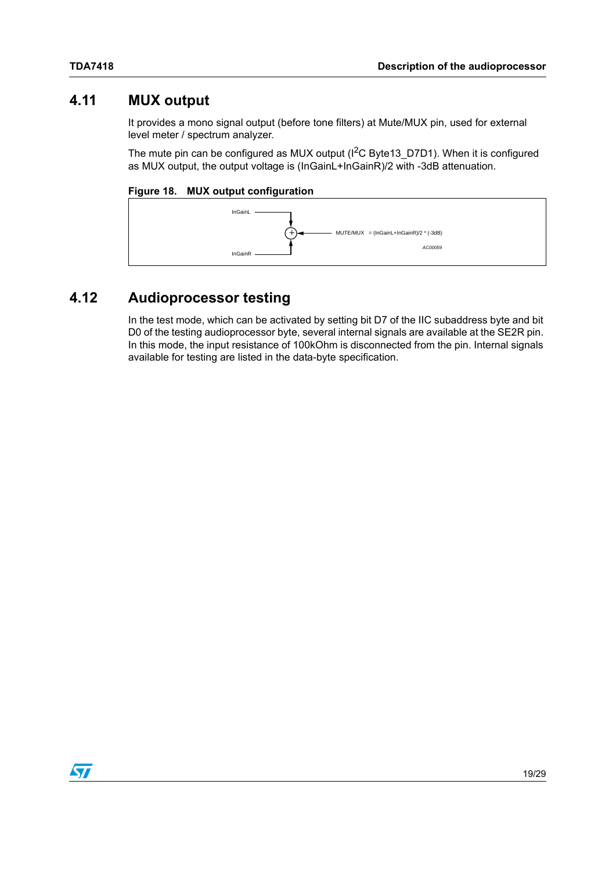## <span id="page-18-0"></span>**4.11 MUX output**

It provides a mono signal output (before tone filters) at Mute/MUX pin, used for external level meter / spectrum analyzer.

The mute pin can be configured as MUX output  $(I^2C$  Byte13 D7D1). When it is configured as MUX output, the output voltage is (InGainL+InGainR)/2 with -3dB attenuation.

#### <span id="page-18-2"></span>**Figure 18. MUX output configuration**



# <span id="page-18-1"></span>**4.12 Audioprocessor testing**

In the test mode, which can be activated by setting bit D7 of the IIC subaddress byte and bit D0 of the testing audioprocessor byte, several internal signals are available at the SE2R pin. In this mode, the input resistance of 100kOhm is disconnected from the pin. Internal signals available for testing are listed in the data-byte specification.

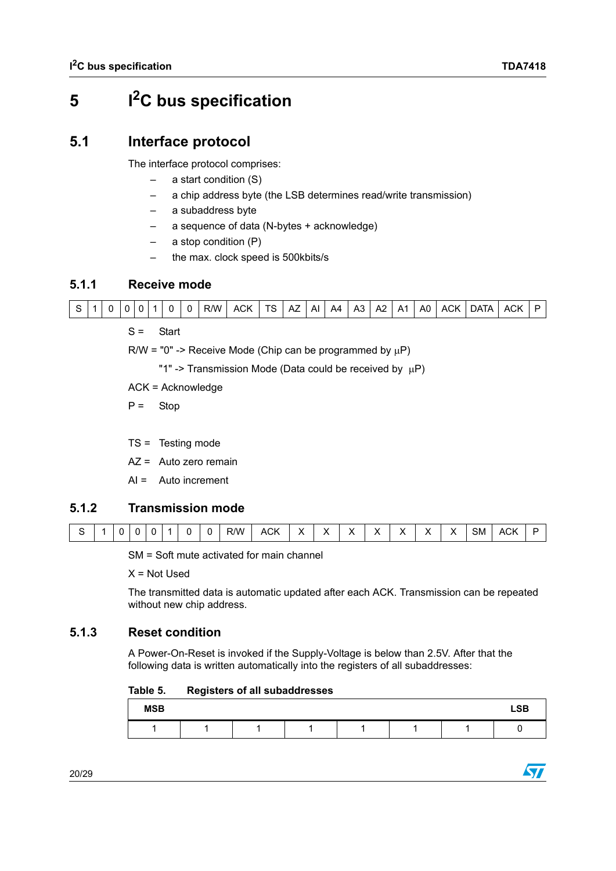# <span id="page-19-0"></span>**5 I2C bus specification**

# <span id="page-19-1"></span>**5.1 Interface protocol**

The interface protocol comprises:

- a start condition (S)
- a chip address byte (the LSB determines read/write transmission)
- a subaddress byte
- a sequence of data (N-bytes + acknowledge)
- $a$  stop condition  $(P)$
- the max. clock speed is 500kbits/s

### <span id="page-19-2"></span>**5.1.1 Receive mode**



S = Start

 $R/W = "0" \rightarrow$  Receive Mode (Chip can be programmed by  $\mu$ P)

"1" -> Transmission Mode (Data could be received by  $\mu$ P)

ACK = Acknowledge

 $P =$  Stop

- TS = Testing mode
- AZ = Auto zero remain
- $AI =$  Auto increment

### <span id="page-19-3"></span>**5.1.2 Transmission mode**

| $\sim$ $\sim$ $\sim$<br>$\ddot{\phantom{0}}$<br>R/W<br>$\cdot$<br>$\sim$<br>. .<br>ີ<br>. .<br>. .<br><br>ACK<br>ACK<br>SM<br>$\overline{\phantom{a}}$<br>$\mathbf{v}$<br>. .<br>.<br>______<br>____ |  |
|------------------------------------------------------------------------------------------------------------------------------------------------------------------------------------------------------|--|
|------------------------------------------------------------------------------------------------------------------------------------------------------------------------------------------------------|--|

SM = Soft mute activated for main channel

 $X = Not$ 

The transmitted data is automatic updated after each ACK. Transmission can be repeated without new chip address.

### <span id="page-19-4"></span>**5.1.3 Reset condition**

A Power-On-Reset is invoked if the Supply-Voltage is below than 2.5V. After that the following data is written automatically into the registers of all subaddresses:

<span id="page-19-5"></span>Table 5. **Table 5. Registers of all subaddresses**

| <b>MSB</b> |  |  |  | <b>LSB</b> |
|------------|--|--|--|------------|
|            |  |  |  |            |

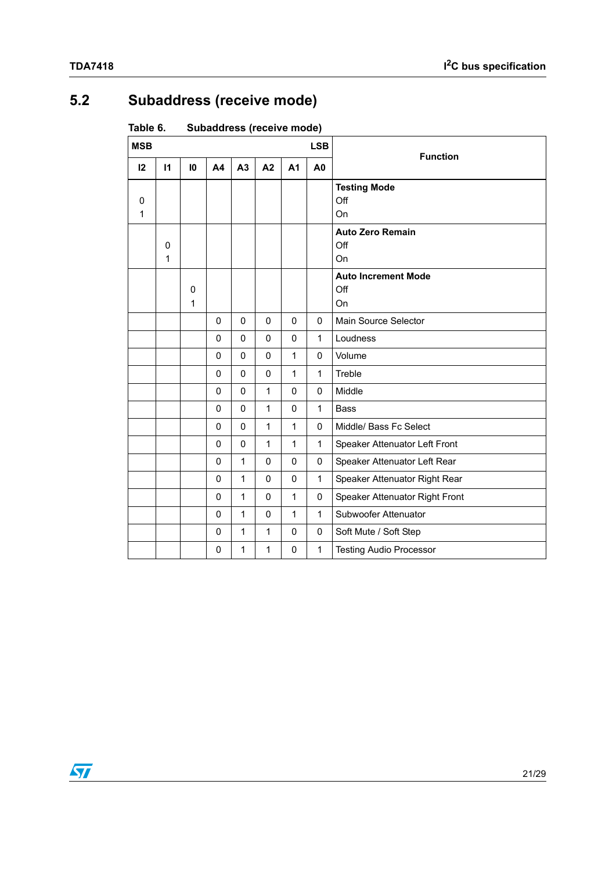# <span id="page-20-0"></span>**5.2 Subaddress (receive mode)**

<span id="page-20-1"></span>Table 6. Subaddress (receive mode)

| <b>MSB</b> |              |        |             |              |              |                | <b>LSB</b>     | <b>Function</b>                         |
|------------|--------------|--------|-------------|--------------|--------------|----------------|----------------|-----------------------------------------|
| 12         | $\mathsf{I}$ | 10     | <b>A4</b>   | A3           | A2           | A <sub>1</sub> | A <sub>0</sub> |                                         |
| 0<br>1     |              |        |             |              |              |                |                | <b>Testing Mode</b><br>Off<br>On        |
|            | 0<br>1       |        |             |              |              |                |                | <b>Auto Zero Remain</b><br>Off<br>On    |
|            |              | 0<br>1 |             |              |              |                |                | <b>Auto Increment Mode</b><br>Off<br>On |
|            |              |        | 0           | $\mathbf 0$  | 0            | 0              | 0              | Main Source Selector                    |
|            |              |        | 0           | $\mathbf 0$  | 0            | 0              | $\mathbf{1}$   | Loudness                                |
|            |              |        | 0           | 0            | 0            | $\mathbf{1}$   | $\pmb{0}$      | Volume                                  |
|            |              |        | $\mathbf 0$ | 0            | $\mathbf{0}$ | $\mathbf{1}$   | $\mathbf{1}$   | Treble                                  |
|            |              |        | 0           | 0            | 1            | 0              | 0              | Middle                                  |
|            |              |        | 0           | 0            | 1            | 0              | $\mathbf{1}$   | <b>Bass</b>                             |
|            |              |        | 0           | 0            | 1            | $\mathbf{1}$   | $\mathbf 0$    | Middle/ Bass Fc Select                  |
|            |              |        | 0           | $\mathbf 0$  | 1            | $\mathbf{1}$   | $\mathbf{1}$   | Speaker Attenuator Left Front           |
|            |              |        | 0           | 1            | $\mathbf{0}$ | 0              | $\mathbf 0$    | Speaker Attenuator Left Rear            |
|            |              |        | 0           | 1            | $\mathbf 0$  | 0              | $\mathbf{1}$   | Speaker Attenuator Right Rear           |
|            |              |        | 0           | $\mathbf 1$  | 0            | $\mathbf{1}$   | 0              | Speaker Attenuator Right Front          |
|            |              |        | 0           | $\mathbf{1}$ | 0            | $\mathbf{1}$   | $\mathbf{1}$   | Subwoofer Attenuator                    |
|            |              |        | $\mathbf 0$ | 1            | 1            | 0              | $\mathbf 0$    | Soft Mute / Soft Step                   |
|            |              |        | 0           | 1            | 1            | 0              | $\mathbf{1}$   | <b>Testing Audio Processor</b>          |

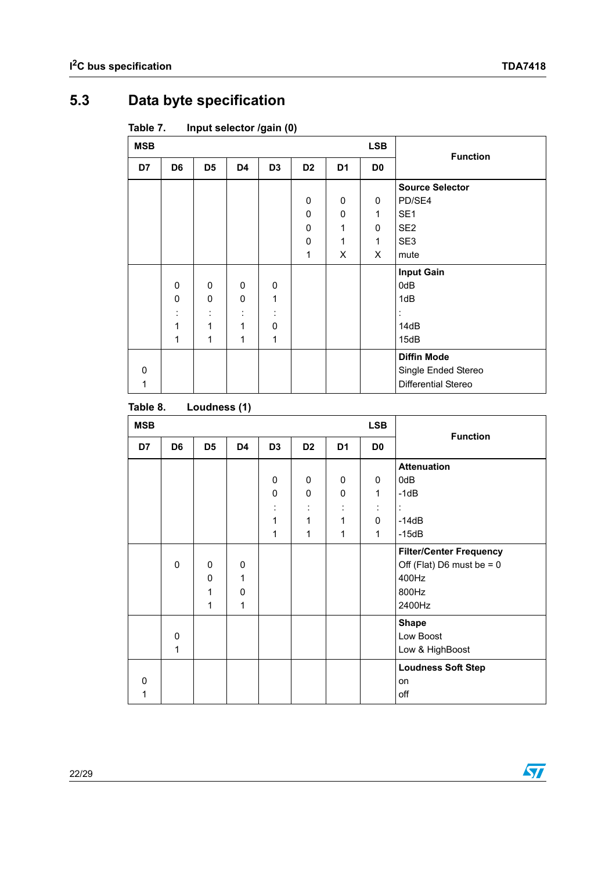# <span id="page-21-0"></span>**5.3 Data byte specification**

<span id="page-21-1"></span>Table 7. **Input selector /gain (0)** 

| <b>MSB</b> |                |                     |              |                |                |                | <b>LSB</b>     | <b>Function</b>        |
|------------|----------------|---------------------|--------------|----------------|----------------|----------------|----------------|------------------------|
| D7         | D <sub>6</sub> | D <sub>5</sub>      | D4           | D <sub>3</sub> | D <sub>2</sub> | D <sub>1</sub> | D <sub>0</sub> |                        |
|            |                |                     |              |                |                |                |                | <b>Source Selector</b> |
|            |                |                     |              |                | 0              | 0              | 0              | PD/SE4                 |
|            |                |                     |              |                | 0              | 0              | $\mathbf{1}$   | SE <sub>1</sub>        |
|            |                |                     |              |                | $\pmb{0}$      | 1              | 0              | SE <sub>2</sub>        |
|            |                |                     |              |                | $\mathbf 0$    | 1              | $\mathbf{1}$   | SE <sub>3</sub>        |
|            |                |                     |              |                | 1              | X              | $\times$       | mute                   |
|            |                |                     |              |                |                |                |                | <b>Input Gain</b>      |
|            | $\mathbf 0$    | 0                   | 0            | 0              |                |                |                | 0dB                    |
|            | $\mathbf{0}$   | 0                   | $\mathbf 0$  | 1              |                |                |                | 1dB                    |
|            | ٠              | ٠<br>$\blacksquare$ | ٠<br>$\cdot$ | ÷              |                |                |                |                        |
|            | 1              | 1                   | 1            | $\mathbf 0$    |                |                |                | 14dB                   |
|            | 1              | 1                   | 1            | 1              |                |                |                | 15dB                   |
|            |                |                     |              |                |                |                |                | <b>Diffin Mode</b>     |
| $\Omega$   |                |                     |              |                |                |                |                | Single Ended Stereo    |
| 1          |                |                     |              |                |                |                |                | Differential Stereo    |

#### <span id="page-21-2"></span>Table 8. Loudness (1)

| <b>MSB</b> |                |                |             |                |                |                | <b>LSB</b>     | <b>Function</b>                |
|------------|----------------|----------------|-------------|----------------|----------------|----------------|----------------|--------------------------------|
| D7         | D <sub>6</sub> | D <sub>5</sub> | D4          | D <sub>3</sub> | D <sub>2</sub> | D <sub>1</sub> | D <sub>0</sub> |                                |
|            |                |                |             |                |                |                |                | <b>Attenuation</b>             |
|            |                |                |             | 0              | 0              | $\mathbf 0$    | 0              | 0dB                            |
|            |                |                |             | 0              | 0              | 0              | 1              | $-1dB$                         |
|            |                |                |             | ٠<br>$\cdot$   | $\blacksquare$ | ÷              | $\blacksquare$ | $\ddot{\cdot}$                 |
|            |                |                |             | $\mathbf 1$    | 1              | 1              | 0              | $-14dB$                        |
|            |                |                |             | 1              | 1              | 1              | 1              | $-15dB$                        |
|            |                |                |             |                |                |                |                | <b>Filter/Center Frequency</b> |
|            | $\Omega$       | $\mathbf 0$    | $\mathbf 0$ |                |                |                |                | Off (Flat) D6 must be = $0$    |
|            |                | 0              | 1           |                |                |                |                | 400Hz                          |
|            |                | 1              | 0           |                |                |                |                | 800Hz                          |
|            |                | 1              | 1           |                |                |                |                | 2400Hz                         |
|            |                |                |             |                |                |                |                | <b>Shape</b>                   |
|            | 0              |                |             |                |                |                |                | Low Boost                      |
|            | 1              |                |             |                |                |                |                | Low & HighBoost                |
|            |                |                |             |                |                |                |                | <b>Loudness Soft Step</b>      |
| $\Omega$   |                |                |             |                |                |                |                | on                             |
| 1          |                |                |             |                |                |                |                | off                            |

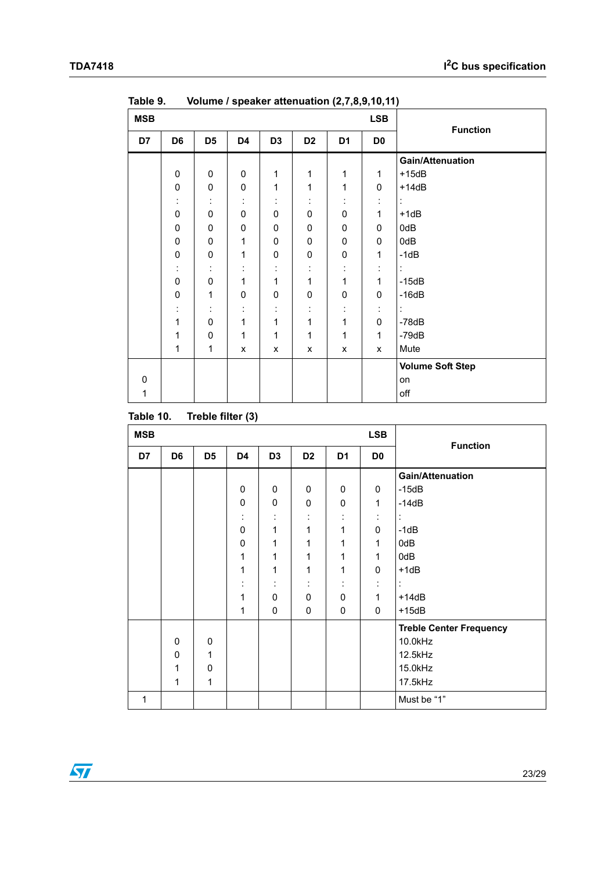| <b>MSB</b> |                |                      |              |                |                |                | <b>LSB</b>     |                         |
|------------|----------------|----------------------|--------------|----------------|----------------|----------------|----------------|-------------------------|
| D7         | D <sub>6</sub> | D5                   | D4           | D <sub>3</sub> | D <sub>2</sub> | D <sub>1</sub> | D <sub>0</sub> | <b>Function</b>         |
|            |                |                      |              |                |                |                |                | <b>Gain/Attenuation</b> |
|            | 0              | 0                    | 0            | 1              | 1              | $\mathbf 1$    | $\mathbf 1$    | $+15dB$                 |
|            | $\pmb{0}$      | 0                    | 0            | $\mathbf{1}$   | 1              | $\mathbf{1}$   | 0              | $+14dB$                 |
|            | ÷              |                      | ÷            | ÷              | İ,             |                | $\ddot{\cdot}$ | t.                      |
|            | $\pmb{0}$      | 0                    | 0            | 0              | 0              | 0              | $\mathbf{1}$   | $+1dB$                  |
|            | $\mathbf 0$    | 0                    | 0            | 0              | 0              | 0              | 0              | 0dB                     |
|            | $\mathbf 0$    | 0                    | 1            | 0              | 0              | 0              | 0              | 0dB                     |
|            | $\pmb{0}$      | 0                    | 1            | 0              | 0              | $\pmb{0}$      | $\mathbf{1}$   | $-1dB$                  |
|            | t              | $\ddot{\phantom{a}}$ | ÷            | t              | ÷              | ÷              | $\ddot{\cdot}$ | ÷                       |
|            | 0              | 0                    | 1            | 1              | $\mathbf{1}$   | $\mathbf{1}$   | $\mathbf{1}$   | $-15dB$                 |
|            | 0              | $\mathbf{1}$         | 0            | 0              | 0              | 0              | 0              | $-16dB$                 |
|            |                |                      | ÷            | ÷              | $\ddot{\cdot}$ | ÷              | $\ddot{\cdot}$ | $\ddot{\phantom{a}}$    |
|            | 1              | 0                    | $\mathbf{1}$ | $\mathbf 1$    | $\mathbf{1}$   | $\mathbf{1}$   | $\pmb{0}$      | $-78dB$                 |
|            | 1              | 0                    | 1            | $\mathbf 1$    | 1              | $\mathbf{1}$   | $\mathbf{1}$   | $-79dB$                 |
|            | 1              | 1                    | X            | X              | X              | X              | X              | Mute                    |
|            |                |                      |              |                |                |                |                | <b>Volume Soft Step</b> |
| 0          |                |                      |              |                |                |                |                | on                      |
| 1          |                |                      |              |                |                |                |                | off                     |

<span id="page-22-0"></span>Table 9. **Table 9. Volume / speaker attenuation (2,7,8,9,10,11)**

<span id="page-22-1"></span>

| Table 10. | Treble filter (3) |  |  |
|-----------|-------------------|--|--|
|-----------|-------------------|--|--|

| <b>MSB</b>   |                |                |                     |                     |                |                | <b>LSB</b>     | <b>Function</b>                |
|--------------|----------------|----------------|---------------------|---------------------|----------------|----------------|----------------|--------------------------------|
| D7           | D <sub>6</sub> | D <sub>5</sub> | D4                  | D <sub>3</sub>      | D <sub>2</sub> | D <sub>1</sub> | D <sub>0</sub> |                                |
|              |                |                |                     |                     |                |                |                | <b>Gain/Attenuation</b>        |
|              |                |                | 0                   | 0                   | 0              | 0              | 0              | $-15dB$                        |
|              |                |                | $\pmb{0}$           | 0                   | 0              | 0              | 1              | $-14dB$                        |
|              |                |                | ÷                   | ٠<br>$\cdot$        | ٠              | ÷              | ÷              | ÷                              |
|              |                |                | $\mathsf 0$         | 1                   | 1              | 1              | 0              | $-1dB$                         |
|              |                |                | 0                   | 1                   | 1              | 1              | 1              | 0dB                            |
|              |                |                | 1                   | 1                   | 1              | 1              | 1              | 0dB                            |
|              |                |                | 1                   | 1                   | 1              | 1              | 0              | $+1dB$                         |
|              |                |                | ٠<br>$\blacksquare$ | ٠<br>$\blacksquare$ | ٠              | ٠<br>$\cdot$   | ÷              | ÷                              |
|              |                |                | 1                   | 0                   | 0              | $\mathbf 0$    | 1              | $+14dB$                        |
|              |                |                | 1                   | 0                   | 0              | 0              | $\Omega$       | $+15dB$                        |
|              |                |                |                     |                     |                |                |                | <b>Treble Center Frequency</b> |
|              | 0              | 0              |                     |                     |                |                |                | 10.0kHz                        |
|              | 0              | 1              |                     |                     |                |                |                | 12.5kHz                        |
|              | 1              | $\mathbf 0$    |                     |                     |                |                |                | 15.0kHz                        |
|              | 1              | 1              |                     |                     |                |                |                | 17.5kHz                        |
| $\mathbf{1}$ |                |                |                     |                     |                |                |                | Must be "1"                    |

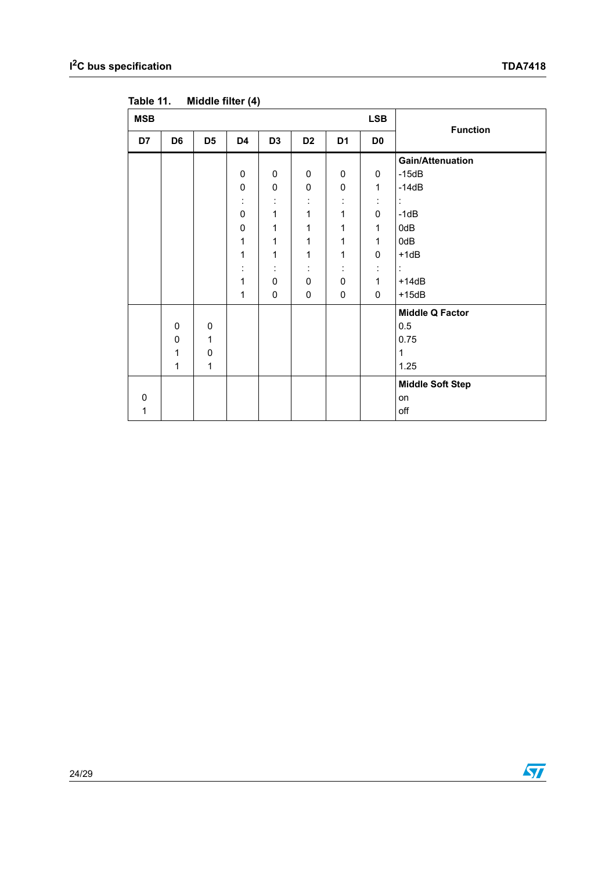| <b>MSB</b> |                |                |             |                |                |                | <b>LSB</b>     | <b>Function</b>         |
|------------|----------------|----------------|-------------|----------------|----------------|----------------|----------------|-------------------------|
| D7         | D <sub>6</sub> | D <sub>5</sub> | D4          | D <sub>3</sub> | D <sub>2</sub> | D <sub>1</sub> | D <sub>0</sub> |                         |
|            |                |                |             |                |                |                |                | <b>Gain/Attenuation</b> |
|            |                |                | 0           | 0              | 0              | 0              | 0              | $-15dB$                 |
|            |                |                | $\pmb{0}$   | $\pmb{0}$      | 0              | $\pmb{0}$      | $\mathbf{1}$   | $-14dB$                 |
|            |                |                | ÷           | ÷              | ÷              | ÷              | ÷              | ÷                       |
|            |                |                | $\mathbf 0$ | 1              | 1              | 1              | 0              | $-1dB$                  |
|            |                |                | $\pmb{0}$   | 1              | 1              | 1              | $\mathbf{1}$   | 0dB                     |
|            |                |                | 1           | 1              | 1              | 1              | $\mathbf{1}$   | 0dB                     |
|            |                |                | 1           | 1              | 1              | 1              | 0              | $+1dB$                  |
|            |                |                | ÷           | ÷              | ÷              | ÷              | ÷              | t                       |
|            |                |                | 1           | 0              | 0              | 0              | $\mathbf{1}$   | $+14dB$                 |
|            |                |                | 1           | $\pmb{0}$      | 0              | $\pmb{0}$      | 0              | $+15dB$                 |
|            |                |                |             |                |                |                |                | <b>Middle Q Factor</b>  |
|            | 0              | 0              |             |                |                |                |                | 0.5                     |
|            | 0              | 1              |             |                |                |                |                | 0.75                    |
|            | 1              | 0              |             |                |                |                |                | $\mathbf{1}$            |
|            | 1              | $\mathbf{1}$   |             |                |                |                |                | 1.25                    |
|            |                |                |             |                |                |                |                | <b>Middle Soft Step</b> |
| $\Omega$   |                |                |             |                |                |                |                | on                      |
| 1          |                |                |             |                |                |                |                | off                     |

<span id="page-23-0"></span>Table 11. **Middle filter (4)** 

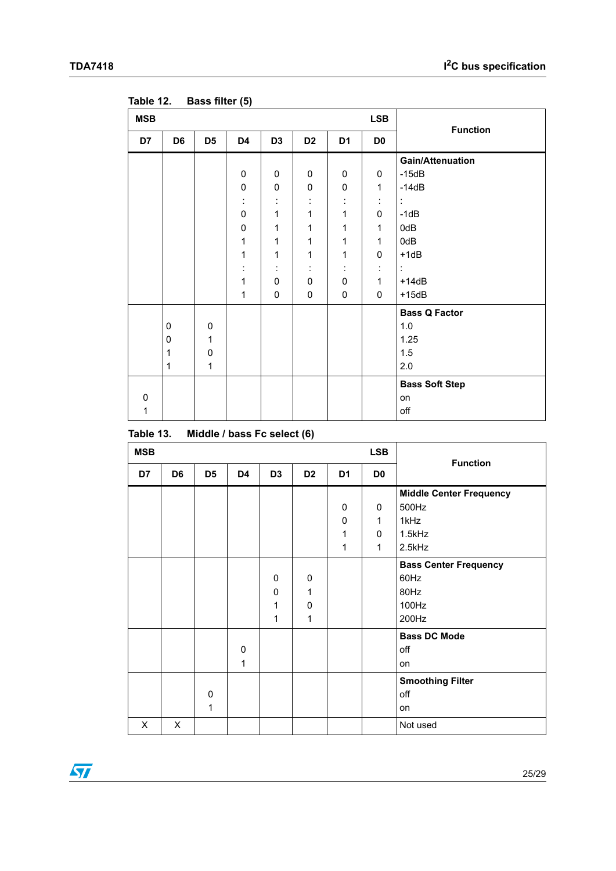| <b>MSB</b> |                |                | $\sim$ $\sim$ $\sim$ $\sim$ |                |                |                      | <b>LSB</b>     | <b>Function</b>         |
|------------|----------------|----------------|-----------------------------|----------------|----------------|----------------------|----------------|-------------------------|
| D7         | D <sub>6</sub> | D <sub>5</sub> | D4                          | D <sub>3</sub> | D <sub>2</sub> | D <sub>1</sub>       | D <sub>0</sub> |                         |
|            |                |                |                             |                |                |                      |                | <b>Gain/Attenuation</b> |
|            |                |                | $\mathbf 0$                 | 0              | $\mathbf 0$    | $\mathbf 0$          | 0              | $-15dB$                 |
|            |                |                | 0                           | 0              | 0              | 0                    | $\mathbf{1}$   | $-14dB$                 |
|            |                |                | ÷                           | t              | t,             | $\ddot{\phantom{a}}$ | t              | $\ddot{\phantom{a}}$    |
|            |                |                | $\pmb{0}$                   | $\mathbf{1}$   | $\mathbf{1}$   | $\mathbf 1$          | $\pmb{0}$      | $-1dB$                  |
|            |                |                | 0                           | 1              | $\mathbf{1}$   | $\mathbf{1}$         | $\mathbf{1}$   | 0dB                     |
|            |                |                | $\mathbf{1}$                | 1              | $\mathbf{1}$   | $\mathbf{1}$         | $\mathbf{1}$   | 0dB                     |
|            |                |                | 1                           | 1              | $\mathbf{1}$   | $\mathbf{1}$         | $\pmb{0}$      | $+1dB$                  |
|            |                |                | $\ddot{\phantom{a}}$        | ÷              | ÷.             | $\ddot{\phantom{a}}$ | t,             | ÷                       |
|            |                |                | $\mathbf 1$                 | 0              | 0              | $\pmb{0}$            | $\mathbf{1}$   | $+14dB$                 |
|            |                |                | $\mathbf{1}$                | 0              | 0              | 0                    | $\mathbf 0$    | $+15dB$                 |
|            |                |                |                             |                |                |                      |                | <b>Bass Q Factor</b>    |
|            | 0              | 0              |                             |                |                |                      |                | 1.0                     |
|            | 0              | 1              |                             |                |                |                      |                | 1.25                    |
|            | 1              | 0              |                             |                |                |                      |                | 1.5                     |
|            | 1              | $\mathbf{1}$   |                             |                |                |                      |                | 2.0                     |
|            |                |                |                             |                |                |                      |                | <b>Bass Soft Step</b>   |
| $\Omega$   |                |                |                             |                |                |                      |                | on                      |
| 1          |                |                |                             |                |                |                      |                | off                     |

<span id="page-24-0"></span>Table 12. **Bass filter (5)** 

<span id="page-24-1"></span>

| Table 13. | Middle / bass Fc select (6) |  |  |
|-----------|-----------------------------|--|--|
|           |                             |  |  |

| <b>MSB</b> |                |                   |                |                  |                            |                | <b>LSB</b>     | <b>Function</b>                                                |
|------------|----------------|-------------------|----------------|------------------|----------------------------|----------------|----------------|----------------------------------------------------------------|
| D7         | D <sub>6</sub> | D <sub>5</sub>    | D <sub>4</sub> | D <sub>3</sub>   | D <sub>2</sub>             | D <sub>1</sub> | D <sub>0</sub> |                                                                |
|            |                |                   |                |                  |                            |                |                | <b>Middle Center Frequency</b>                                 |
|            |                |                   |                |                  |                            | 0              | 0              | 500Hz                                                          |
|            |                |                   |                |                  |                            | 0              | $\mathbf{1}$   | 1kHz                                                           |
|            |                |                   |                |                  |                            | 1              | 0              | 1.5kHz                                                         |
|            |                |                   |                |                  |                            | 1              | $\mathbf{1}$   | 2.5kHz                                                         |
|            |                |                   |                | 0<br>0<br>1<br>1 | $\mathbf 0$<br>1<br>0<br>1 |                |                | <b>Bass Center Frequency</b><br>60Hz<br>80Hz<br>100Hz<br>200Hz |
|            |                |                   | 0<br>1         |                  |                            |                |                | <b>Bass DC Mode</b><br>off<br>on                               |
|            |                | $\mathbf{0}$<br>1 |                |                  |                            |                |                | <b>Smoothing Filter</b><br>off<br>on                           |
| X          | X              |                   |                |                  |                            |                |                | Not used                                                       |

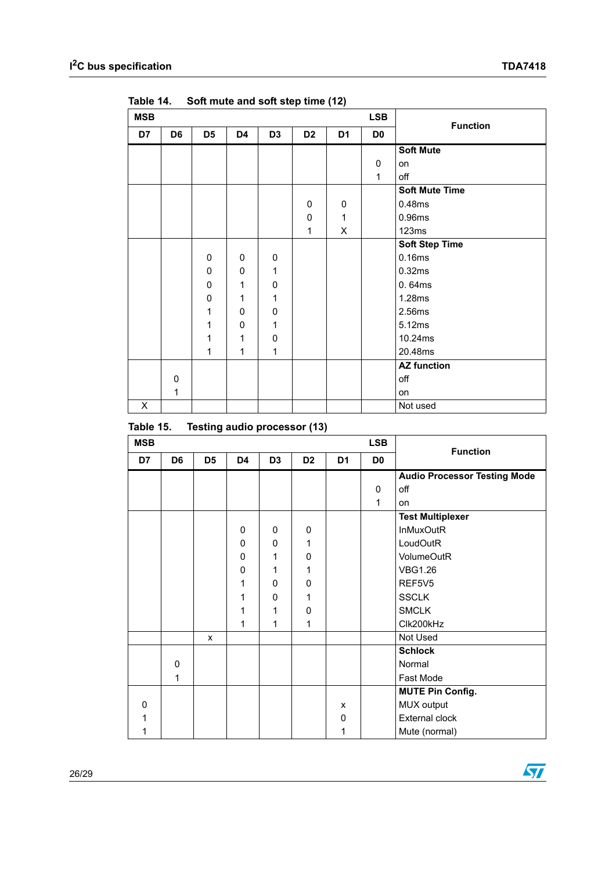| <b>MSB</b> |                |                |             |                |                |                | <b>LSB</b>     | <b>Function</b>       |  |
|------------|----------------|----------------|-------------|----------------|----------------|----------------|----------------|-----------------------|--|
| D7         | D <sub>6</sub> | D <sub>5</sub> | D4          | D <sub>3</sub> | D <sub>2</sub> | D <sub>1</sub> | D <sub>0</sub> |                       |  |
|            |                |                |             |                |                |                |                | <b>Soft Mute</b>      |  |
|            |                |                |             |                |                |                | 0              | on                    |  |
|            |                |                |             |                |                |                | $\mathbf{1}$   | off                   |  |
|            |                |                |             |                |                |                |                | <b>Soft Mute Time</b> |  |
|            |                |                |             |                | 0              | 0              |                | 0.48ms                |  |
|            |                |                |             |                | $\mathbf 0$    | 1              |                | 0.96ms                |  |
|            |                |                |             |                | 1              | X              |                | 123ms                 |  |
|            |                |                |             |                |                |                |                | <b>Soft Step Time</b> |  |
|            |                | 0              | 0           | 0              |                |                |                | 0.16ms                |  |
|            |                | 0              | $\mathbf 0$ | $\mathbf{1}$   |                |                |                | 0.32ms                |  |
|            |                | 0              | 1           | 0              |                |                |                | 0.64ms                |  |
|            |                | 0              | 1           | $\mathbf{1}$   |                |                |                | 1.28ms                |  |
|            |                | 1              | $\mathbf 0$ | 0              |                |                |                | 2.56ms                |  |
|            |                | 1              | 0           | 1              |                |                |                | 5.12ms                |  |
|            |                | 1              | 1           | 0              |                |                |                | 10.24ms               |  |
|            |                | 1              | 1           | 1              |                |                |                | 20.48ms               |  |
|            |                |                |             |                |                |                |                | <b>AZ function</b>    |  |
|            | 0              |                |             |                |                |                |                | off                   |  |
|            | 1              |                |             |                |                |                |                | on                    |  |
| X          |                |                |             |                |                |                |                | Not used              |  |

<span id="page-25-0"></span>Table 14. Soft mute and soft step time (12)

<span id="page-25-1"></span>

| Table 15. |  |  | Testing audio processor (13) |  |
|-----------|--|--|------------------------------|--|
|-----------|--|--|------------------------------|--|

| <b>MSB</b>  |                |                |                |                |                |                | <b>LSB</b>     |                                     |
|-------------|----------------|----------------|----------------|----------------|----------------|----------------|----------------|-------------------------------------|
| D7          | D <sub>6</sub> | D <sub>5</sub> | D <sub>4</sub> | D <sub>3</sub> | D <sub>2</sub> | D <sub>1</sub> | D <sub>0</sub> | <b>Function</b>                     |
|             |                |                |                |                |                |                |                | <b>Audio Processor Testing Mode</b> |
|             |                |                |                |                |                |                | 0              | off                                 |
|             |                |                |                |                |                |                | $\mathbf{1}$   | on                                  |
|             |                |                |                |                |                |                |                | <b>Test Multiplexer</b>             |
|             |                |                | $\mathbf 0$    | 0              | 0              |                |                | <b>InMuxOutR</b>                    |
|             |                |                | $\mathbf{0}$   | 0              | 1              |                |                | LoudOutR                            |
|             |                |                | $\mathbf 0$    | 1              | 0              |                |                | <b>VolumeOutR</b>                   |
|             |                |                | 0              | 1              | 1              |                |                | <b>VBG1.26</b>                      |
|             |                |                | 1              | 0              | 0              |                |                | REF5V5                              |
|             |                |                | 1              | 0              | 1              |                |                | <b>SSCLK</b>                        |
|             |                |                | 1              | 1              | 0              |                |                | <b>SMCLK</b>                        |
|             |                |                | 1              | 1              | 1              |                |                | Clk200kHz                           |
|             |                | $\mathsf{x}$   |                |                |                |                |                | Not Used                            |
|             |                |                |                |                |                |                |                | <b>Schlock</b>                      |
|             | 0              |                |                |                |                |                |                | Normal                              |
|             | 1              |                |                |                |                |                |                | Fast Mode                           |
|             |                |                |                |                |                |                |                | <b>MUTE Pin Config.</b>             |
| $\mathbf 0$ |                |                |                |                |                | X              |                | MUX output                          |
| 1           |                |                |                |                |                | 0              |                | External clock                      |
| 1           |                |                |                |                |                | 1              |                | Mute (normal)                       |

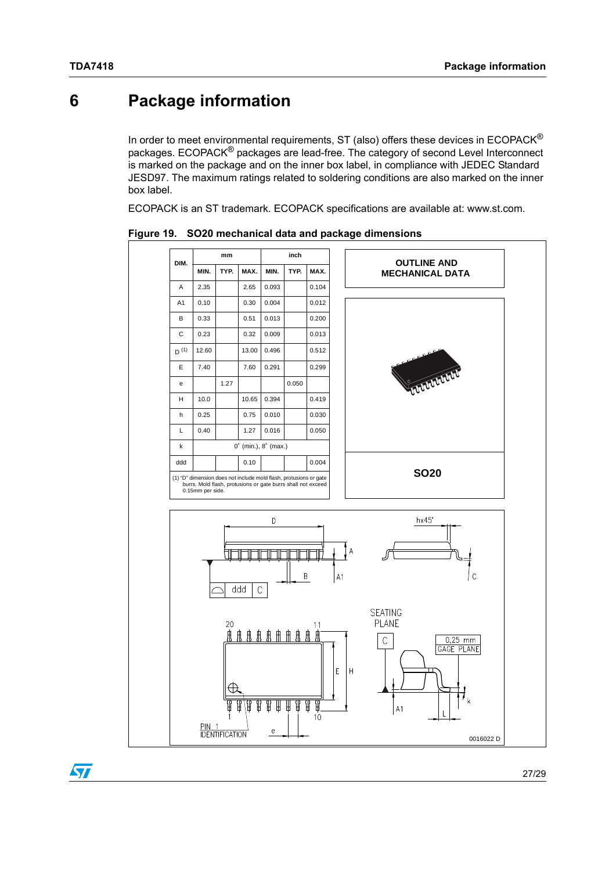# <span id="page-26-0"></span>**6 Package information**

In order to meet environmental requirements, ST (also) offers these devices in  $ECOPACK^{\circledcirc}$ packages. ECOPACK® packages are lead-free. The category of second Level Interconnect is marked on the package and on the inner box label, in compliance with JEDEC Standard JESD97. The maximum ratings related to soldering conditions are also marked on the inner box label.

ECOPACK is an ST trademark. ECOPACK specifications are available at: www.st.com.



<span id="page-26-1"></span>**Figure 19. SO20 mechanical data and package dimensions**

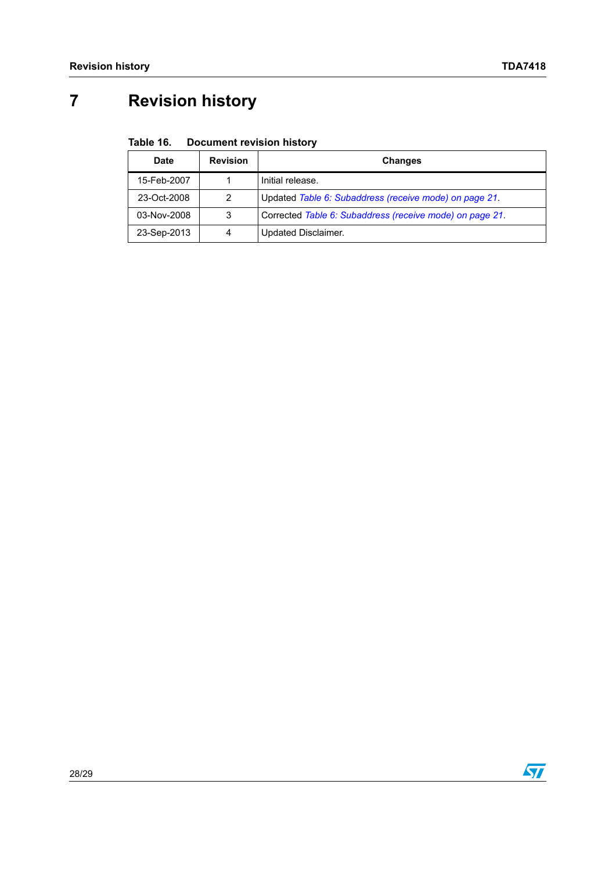# <span id="page-27-0"></span>**7 Revision history**

#### <span id="page-27-1"></span>Table 16. **Document revision history**

| Date        | <b>Revision</b> | <b>Changes</b>                                           |
|-------------|-----------------|----------------------------------------------------------|
| 15-Feb-2007 |                 | Initial release.                                         |
| 23-Oct-2008 | 2               | Updated Table 6: Subaddress (receive mode) on page 21.   |
| 03-Nov-2008 | 3               | Corrected Table 6: Subaddress (receive mode) on page 21. |
| 23-Sep-2013 | 4               | Updated Disclaimer.                                      |